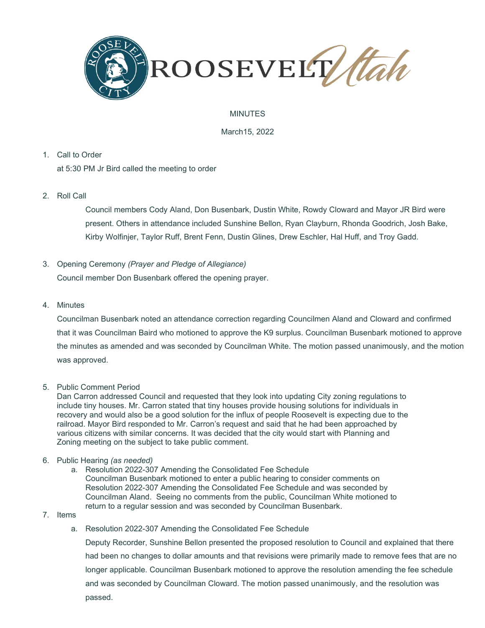

### MINUTES

March15, 2022

1. Call to Order

at 5:30 PM Jr Bird called the meeting to order

2. Roll Call

Council members Cody Aland, Don Busenbark, Dustin White, Rowdy Cloward and Mayor JR Bird were present. Others in attendance included Sunshine Bellon, Ryan Clayburn, Rhonda Goodrich, Josh Bake, Kirby Wolfinjer, Taylor Ruff, Brent Fenn, Dustin Glines, Drew Eschler, Hal Huff, and Troy Gadd.

- 3. Opening Ceremony *(Prayer and Pledge of Allegiance)* Council member Don Busenbark offered the opening prayer.
- 4. Minutes

Councilman Busenbark noted an attendance correction regarding Councilmen Aland and Cloward and confirmed that it was Councilman Baird who motioned to approve the K9 surplus. Councilman Busenbark motioned to approve the minutes as amended and was seconded by Councilman White. The motion passed unanimously, and the motion was approved.

5. Public Comment Period

Dan Carron addressed Council and requested that they look into updating City zoning regulations to include tiny houses. Mr. Carron stated that tiny houses provide housing solutions for individuals in recovery and would also be a good solution for the influx of people Roosevelt is expecting due to the railroad. Mayor Bird responded to Mr. Carron's request and said that he had been approached by various citizens with similar concerns. It was decided that the city would start with Planning and Zoning meeting on the subject to take public comment.

- 6. Public Hearing *(as needed)*
	- a. Resolution 2022-307 Amending the Consolidated Fee Schedule Councilman Busenbark motioned to enter a public hearing to consider comments on Resolution 2022-307 Amending the Consolidated Fee Schedule and was seconded by Councilman Aland. Seeing no comments from the public, Councilman White motioned to return to a regular session and was seconded by Councilman Busenbark.
- 7. Items
	- a. Resolution 2022-307 Amending the Consolidated Fee Schedule

Deputy Recorder, Sunshine Bellon presented the proposed resolution to Council and explained that there had been no changes to dollar amounts and that revisions were primarily made to remove fees that are no longer applicable. Councilman Busenbark motioned to approve the resolution amending the fee schedule and was seconded by Councilman Cloward. The motion passed unanimously, and the resolution was passed.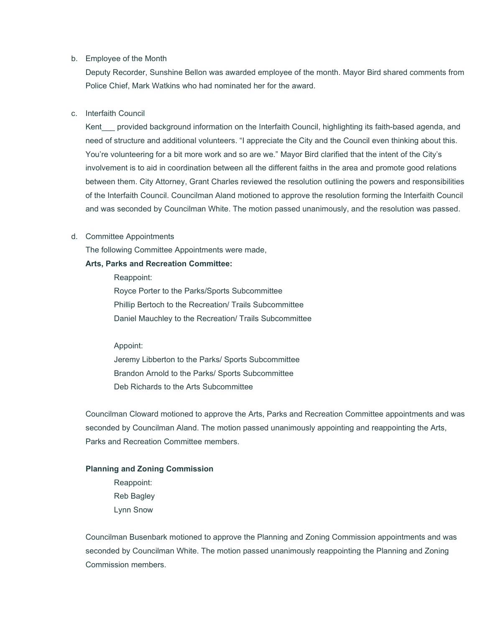#### b. Employee of the Month

Deputy Recorder, Sunshine Bellon was awarded employee of the month. Mayor Bird shared comments from Police Chief, Mark Watkins who had nominated her for the award.

### c. Interfaith Council

Kent provided background information on the Interfaith Council, highlighting its faith-based agenda, and need of structure and additional volunteers. "I appreciate the City and the Council even thinking about this. You're volunteering for a bit more work and so are we." Mayor Bird clarified that the intent of the City's involvement is to aid in coordination between all the different faiths in the area and promote good relations between them. City Attorney, Grant Charles reviewed the resolution outlining the powers and responsibilities of the Interfaith Council. Councilman Aland motioned to approve the resolution forming the Interfaith Council and was seconded by Councilman White. The motion passed unanimously, and the resolution was passed.

### d. Committee Appointments

The following Committee Appointments were made,

### **Arts, Parks and Recreation Committee:**

Reappoint: Royce Porter to the Parks/Sports Subcommittee Phillip Bertoch to the Recreation/ Trails Subcommittee Daniel Mauchley to the Recreation/ Trails Subcommittee

### Appoint:

Jeremy Libberton to the Parks/ Sports Subcommittee Brandon Arnold to the Parks/ Sports Subcommittee Deb Richards to the Arts Subcommittee

Councilman Cloward motioned to approve the Arts, Parks and Recreation Committee appointments and was seconded by Councilman Aland. The motion passed unanimously appointing and reappointing the Arts, Parks and Recreation Committee members.

# **Planning and Zoning Commission**

Reappoint: Reb Bagley Lynn Snow

Councilman Busenbark motioned to approve the Planning and Zoning Commission appointments and was seconded by Councilman White. The motion passed unanimously reappointing the Planning and Zoning Commission members.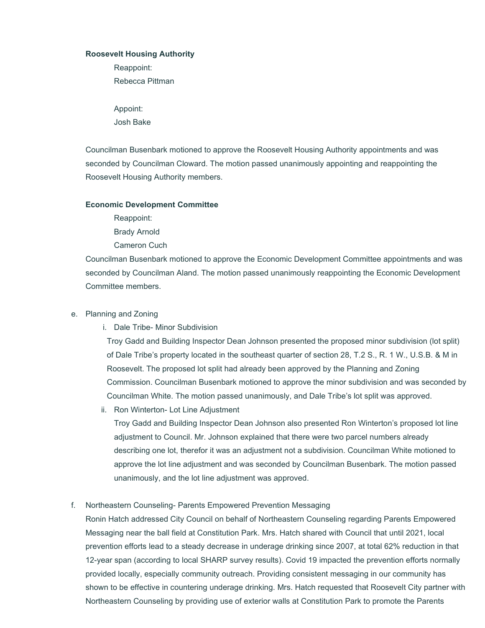### **Roosevelt Housing Authority**

Reappoint: Rebecca Pittman

Appoint: Josh Bake

Councilman Busenbark motioned to approve the Roosevelt Housing Authority appointments and was seconded by Councilman Cloward. The motion passed unanimously appointing and reappointing the Roosevelt Housing Authority members.

#### **Economic Development Committee**

Reappoint: Brady Arnold Cameron Cuch

Councilman Busenbark motioned to approve the Economic Development Committee appointments and was seconded by Councilman Aland. The motion passed unanimously reappointing the Economic Development Committee members.

## e. Planning and Zoning

i. Dale Tribe- Minor Subdivision

Troy Gadd and Building Inspector Dean Johnson presented the proposed minor subdivision (lot split) of Dale Tribe's property located in the southeast quarter of section 28, T.2 S., R. 1 W., U.S.B. & M in Roosevelt. The proposed lot split had already been approved by the Planning and Zoning Commission. Councilman Busenbark motioned to approve the minor subdivision and was seconded by Councilman White. The motion passed unanimously, and Dale Tribe's lot split was approved.

ii. Ron Winterton- Lot Line Adjustment

Troy Gadd and Building Inspector Dean Johnson also presented Ron Winterton's proposed lot line adjustment to Council. Mr. Johnson explained that there were two parcel numbers already describing one lot, therefor it was an adjustment not a subdivision. Councilman White motioned to approve the lot line adjustment and was seconded by Councilman Busenbark. The motion passed unanimously, and the lot line adjustment was approved.

### f. Northeastern Counseling- Parents Empowered Prevention Messaging

Ronin Hatch addressed City Council on behalf of Northeastern Counseling regarding Parents Empowered Messaging near the ball field at Constitution Park. Mrs. Hatch shared with Council that until 2021, local prevention efforts lead to a steady decrease in underage drinking since 2007, at total 62% reduction in that 12-year span (according to local SHARP survey results). Covid 19 impacted the prevention efforts normally provided locally, especially community outreach. Providing consistent messaging in our community has shown to be effective in countering underage drinking. Mrs. Hatch requested that Roosevelt City partner with Northeastern Counseling by providing use of exterior walls at Constitution Park to promote the Parents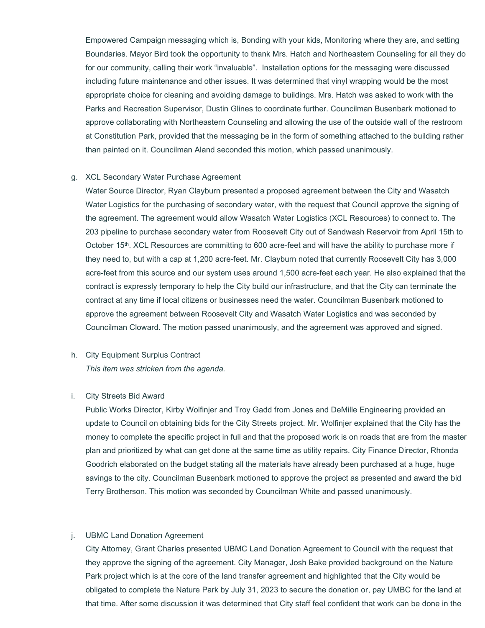Empowered Campaign messaging which is, Bonding with your kids, Monitoring where they are, and setting Boundaries. Mayor Bird took the opportunity to thank Mrs. Hatch and Northeastern Counseling for all they do for our community, calling their work "invaluable". Installation options for the messaging were discussed including future maintenance and other issues. It was determined that vinyl wrapping would be the most appropriate choice for cleaning and avoiding damage to buildings. Mrs. Hatch was asked to work with the Parks and Recreation Supervisor, Dustin Glines to coordinate further. Councilman Busenbark motioned to approve collaborating with Northeastern Counseling and allowing the use of the outside wall of the restroom at Constitution Park, provided that the messaging be in the form of something attached to the building rather than painted on it. Councilman Aland seconded this motion, which passed unanimously.

#### g. XCL Secondary Water Purchase Agreement

Water Source Director, Ryan Clayburn presented a proposed agreement between the City and Wasatch Water Logistics for the purchasing of secondary water, with the request that Council approve the signing of the agreement. The agreement would allow Wasatch Water Logistics (XCL Resources) to connect to. The 203 pipeline to purchase secondary water from Roosevelt City out of Sandwash Reservoir from April 15th to October 15<sup>th</sup>. XCL Resources are committing to 600 acre-feet and will have the ability to purchase more if they need to, but with a cap at 1,200 acre-feet. Mr. Clayburn noted that currently Roosevelt City has 3,000 acre-feet from this source and our system uses around 1,500 acre-feet each year. He also explained that the contract is expressly temporary to help the City build our infrastructure, and that the City can terminate the contract at any time if local citizens or businesses need the water. Councilman Busenbark motioned to approve the agreement between Roosevelt City and Wasatch Water Logistics and was seconded by Councilman Cloward. The motion passed unanimously, and the agreement was approved and signed.

# h. City Equipment Surplus Contract *This item was stricken from the agenda.*

#### i. City Streets Bid Award

Public Works Director, Kirby Wolfinjer and Troy Gadd from Jones and DeMille Engineering provided an update to Council on obtaining bids for the City Streets project. Mr. Wolfinjer explained that the City has the money to complete the specific project in full and that the proposed work is on roads that are from the master plan and prioritized by what can get done at the same time as utility repairs. City Finance Director, Rhonda Goodrich elaborated on the budget stating all the materials have already been purchased at a huge, huge savings to the city. Councilman Busenbark motioned to approve the project as presented and award the bid Terry Brotherson. This motion was seconded by Councilman White and passed unanimously.

### j. UBMC Land Donation Agreement

City Attorney, Grant Charles presented UBMC Land Donation Agreement to Council with the request that they approve the signing of the agreement. City Manager, Josh Bake provided background on the Nature Park project which is at the core of the land transfer agreement and highlighted that the City would be obligated to complete the Nature Park by July 31, 2023 to secure the donation or, pay UMBC for the land at that time. After some discussion it was determined that City staff feel confident that work can be done in the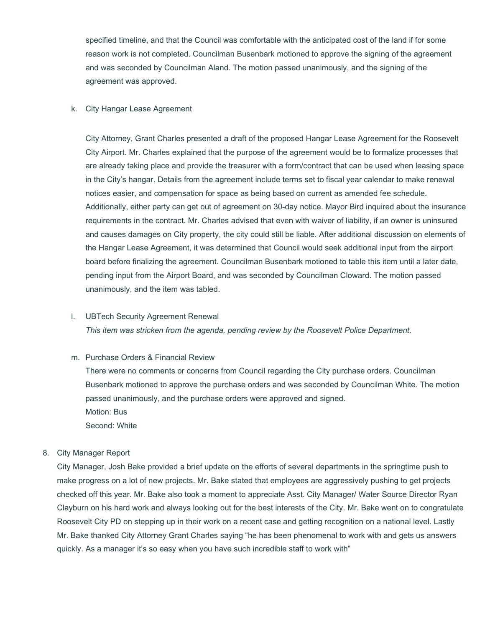specified timeline, and that the Council was comfortable with the anticipated cost of the land if for some reason work is not completed. Councilman Busenbark motioned to approve the signing of the agreement and was seconded by Councilman Aland. The motion passed unanimously, and the signing of the agreement was approved.

#### k. City Hangar Lease Agreement

City Attorney, Grant Charles presented a draft of the proposed Hangar Lease Agreement for the Roosevelt City Airport. Mr. Charles explained that the purpose of the agreement would be to formalize processes that are already taking place and provide the treasurer with a form/contract that can be used when leasing space in the City's hangar. Details from the agreement include terms set to fiscal year calendar to make renewal notices easier, and compensation for space as being based on current as amended fee schedule. Additionally, either party can get out of agreement on 30-day notice. Mayor Bird inquired about the insurance requirements in the contract. Mr. Charles advised that even with waiver of liability, if an owner is uninsured and causes damages on City property, the city could still be liable. After additional discussion on elements of the Hangar Lease Agreement, it was determined that Council would seek additional input from the airport board before finalizing the agreement. Councilman Busenbark motioned to table this item until a later date, pending input from the Airport Board, and was seconded by Councilman Cloward. The motion passed unanimously, and the item was tabled.

#### l. UBTech Security Agreement Renewal

*This item was stricken from the agenda, pending review by the Roosevelt Police Department.*

### m. Purchase Orders & Financial Review

There were no comments or concerns from Council regarding the City purchase orders. Councilman Busenbark motioned to approve the purchase orders and was seconded by Councilman White. The motion passed unanimously, and the purchase orders were approved and signed. Motion: Bus Second: White

#### 8. City Manager Report

City Manager, Josh Bake provided a brief update on the efforts of several departments in the springtime push to make progress on a lot of new projects. Mr. Bake stated that employees are aggressively pushing to get projects checked off this year. Mr. Bake also took a moment to appreciate Asst. City Manager/ Water Source Director Ryan Clayburn on his hard work and always looking out for the best interests of the City. Mr. Bake went on to congratulate Roosevelt City PD on stepping up in their work on a recent case and getting recognition on a national level. Lastly Mr. Bake thanked City Attorney Grant Charles saying "he has been phenomenal to work with and gets us answers quickly. As a manager it's so easy when you have such incredible staff to work with"